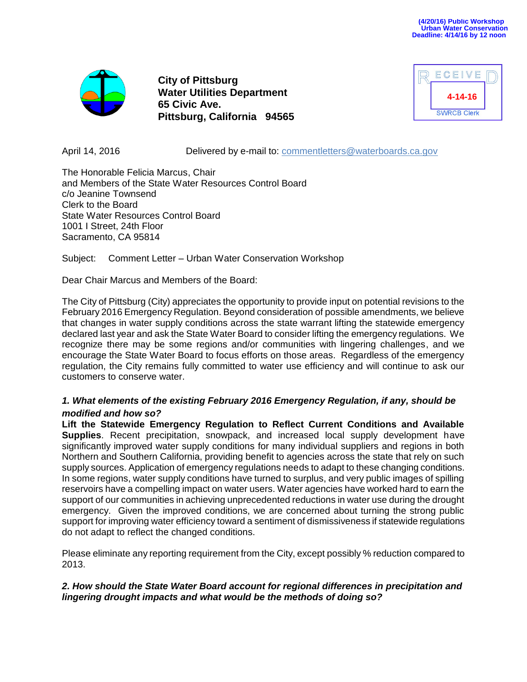

**City of Pittsburg Water Utilities Department 65 Civic Ave. Pittsburg, California 94565**

| ECEIVE             |  |
|--------------------|--|
| 4-14-16            |  |
| <b>SWRCB Clerk</b> |  |

April 14, 2016 **Delivered by e-mail to: [commentletters@waterboards.ca.gov](mailto:commentletters@waterboards.ca.gov)** 

The Honorable Felicia Marcus, Chair and Members of the State Water Resources Control Board c/o Jeanine Townsend Clerk to the Board State Water Resources Control Board 1001 I Street, 24th Floor Sacramento, CA 95814

Subject: Comment Letter – Urban Water Conservation Workshop

Dear Chair Marcus and Members of the Board:

The City of Pittsburg (City) appreciates the opportunity to provide input on potential revisions to the February 2016 Emergency Regulation. Beyond consideration of possible amendments, we believe that changes in water supply conditions across the state warrant lifting the statewide emergency declared last year and ask the State Water Board to consider lifting the emergency regulations. We recognize there may be some regions and/or communities with lingering challenges, and we encourage the State Water Board to focus efforts on those areas. Regardless of the emergency regulation, the City remains fully committed to water use efficiency and will continue to ask our customers to conserve water.

# *1. What elements of the existing February 2016 Emergency Regulation, if any, should be modified and how so?*

**Lift the Statewide Emergency Regulation to Reflect Current Conditions and Available Supplies**. Recent precipitation, snowpack, and increased local supply development have significantly improved water supply conditions for many individual suppliers and regions in both Northern and Southern California, providing benefit to agencies across the state that rely on such supply sources. Application of emergency regulations needs to adapt to these changing conditions. In some regions, water supply conditions have turned to surplus, and very public images of spilling reservoirs have a compelling impact on water users. Water agencies have worked hard to earn the support of our communities in achieving unprecedented reductions in water use during the drought emergency. Given the improved conditions, we are concerned about turning the strong public support for improving water efficiency toward a sentiment of dismissiveness if statewide regulations do not adapt to reflect the changed conditions.

Please eliminate any reporting requirement from the City, except possibly % reduction compared to 2013.

## *2. How should the State Water Board account for regional differences in precipitation and lingering drought impacts and what would be the methods of doing so?*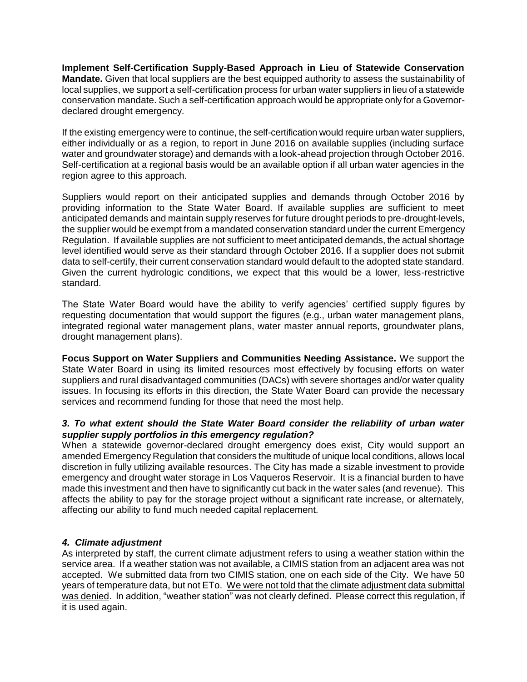**Implement Self-Certification Supply-Based Approach in Lieu of Statewide Conservation Mandate.** Given that local suppliers are the best equipped authority to assess the sustainability of local supplies, we support a self-certification process for urban water suppliers in lieu of a statewide conservation mandate. Such a self-certification approach would be appropriate only for a Governordeclared drought emergency.

If the existing emergency were to continue, the self-certification would require urban water suppliers, either individually or as a region, to report in June 2016 on available supplies (including surface water and groundwater storage) and demands with a look-ahead projection through October 2016. Self-certification at a regional basis would be an available option if all urban water agencies in the region agree to this approach.

Suppliers would report on their anticipated supplies and demands through October 2016 by providing information to the State Water Board. If available supplies are sufficient to meet anticipated demands and maintain supply reserves for future drought periods to pre-drought-levels, the supplier would be exempt from a mandated conservation standard under the current Emergency Regulation. If available supplies are not sufficient to meet anticipated demands, the actual shortage level identified would serve as their standard through October 2016. If a supplier does not submit data to self-certify, their current conservation standard would default to the adopted state standard. Given the current hydrologic conditions, we expect that this would be a lower, less-restrictive standard.

The State Water Board would have the ability to verify agencies' certified supply figures by requesting documentation that would support the figures (e.g., urban water management plans, integrated regional water management plans, water master annual reports, groundwater plans, drought management plans).

**Focus Support on Water Suppliers and Communities Needing Assistance.** We support the State Water Board in using its limited resources most effectively by focusing efforts on water suppliers and rural disadvantaged communities (DACs) with severe shortages and/or water quality issues. In focusing its efforts in this direction, the State Water Board can provide the necessary services and recommend funding for those that need the most help.

## *3. To what extent should the State Water Board consider the reliability of urban water supplier supply portfolios in this emergency regulation?*

When a statewide governor-declared drought emergency does exist, City would support an amended Emergency Regulation that considers the multitude of unique local conditions, allows local discretion in fully utilizing available resources. The City has made a sizable investment to provide emergency and drought water storage in Los Vaqueros Reservoir. It is a financial burden to have made this investment and then have to significantly cut back in the water sales (and revenue). This affects the ability to pay for the storage project without a significant rate increase, or alternately, affecting our ability to fund much needed capital replacement.

## *4. Climate adjustment*

As interpreted by staff, the current climate adjustment refers to using a weather station within the service area. If a weather station was not available, a CIMIS station from an adjacent area was not accepted. We submitted data from two CIMIS station, one on each side of the City. We have 50 years of temperature data, but not ETo. We were not told that the climate adjustment data submittal was denied. In addition, "weather station" was not clearly defined. Please correct this regulation, if it is used again.